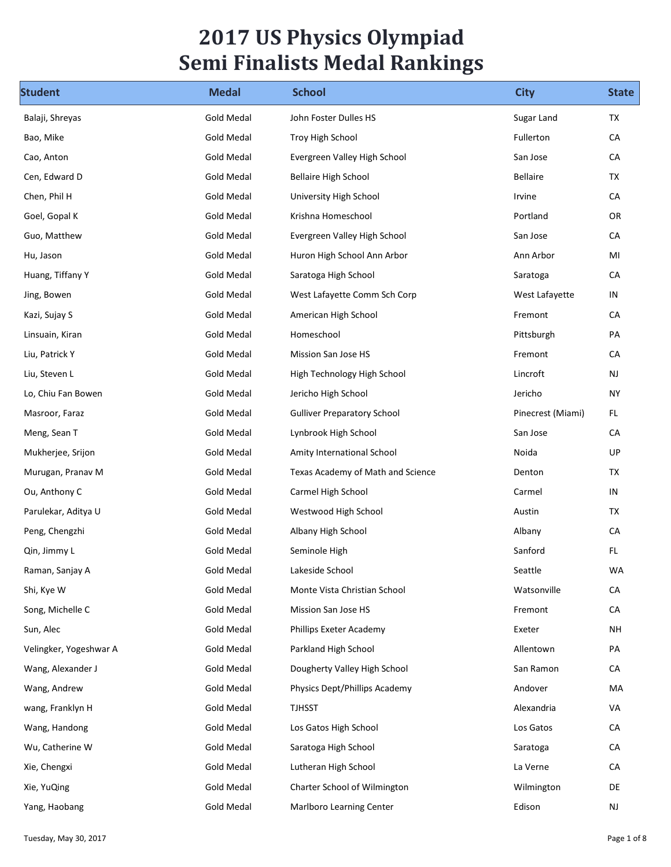## 2017 US Physics Olympiad Semi Finalists Medal Rankings

| <b>Student</b>         | <b>Medal</b>      | <b>Semi Finalists Medal Rankings</b><br><b>School</b> | <b>City</b>       | <b>State</b>    |
|------------------------|-------------------|-------------------------------------------------------|-------------------|-----------------|
| Balaji, Shreyas        | Gold Medal        | John Foster Dulles HS                                 | Sugar Land        | TX              |
| Bao, Mike              | <b>Gold Medal</b> | Troy High School                                      | Fullerton         | CA              |
| Cao, Anton             | <b>Gold Medal</b> | Evergreen Valley High School                          | San Jose          | CA              |
| Cen, Edward D          | <b>Gold Medal</b> | <b>Bellaire High School</b>                           | Bellaire          | TX              |
| Chen, Phil H           | <b>Gold Medal</b> | University High School                                | Irvine            | CA              |
| Goel, Gopal K          | Gold Medal        | Krishna Homeschool                                    | Portland          | OR              |
| Guo, Matthew           | <b>Gold Medal</b> | Evergreen Valley High School                          | San Jose          | CA              |
| Hu, Jason              | Gold Medal        | Huron High School Ann Arbor                           | Ann Arbor         | MI              |
| Huang, Tiffany Y       | Gold Medal        | Saratoga High School                                  | Saratoga          | CA              |
| Jing, Bowen            | Gold Medal        | West Lafayette Comm Sch Corp                          | West Lafayette    | IN              |
| Kazi, Sujay S          | Gold Medal        | American High School                                  | Fremont           | ${\sf CA}$      |
| Linsuain, Kiran        | Gold Medal        | Homeschool                                            | Pittsburgh        | PA              |
| Liu, Patrick Y         | <b>Gold Medal</b> | Mission San Jose HS                                   | Fremont           | CA              |
| Liu, Steven L          | <b>Gold Medal</b> | High Technology High School                           | Lincroft          | <b>NJ</b>       |
| Lo, Chiu Fan Bowen     | Gold Medal        | Jericho High School                                   | Jericho           | <b>NY</b>       |
| Masroor, Faraz         | <b>Gold Medal</b> | <b>Gulliver Preparatory School</b>                    | Pinecrest (Miami) | FL.             |
| Meng, Sean T           | <b>Gold Medal</b> | Lynbrook High School                                  | San Jose          | CA              |
| Mukherjee, Srijon      | <b>Gold Medal</b> | Amity International School                            | Noida             | UP              |
| Murugan, Pranav M      | Gold Medal        | Texas Academy of Math and Science                     | Denton            | TX              |
| Ou, Anthony C          | Gold Medal        | Carmel High School                                    | Carmel            | IN              |
| Parulekar, Aditya U    | Gold Medal        | Westwood High School                                  | Austin            | TX              |
| Peng, Chengzhi         | Gold Medal        | Albany High School                                    | Albany            | CA              |
| Qin, Jimmy L           | <b>Gold Medal</b> | Seminole High                                         | Sanford           | FL              |
| Raman, Sanjay A        | <b>Gold Medal</b> | Lakeside School                                       | Seattle           | WA              |
| Shi, Kye W             | <b>Gold Medal</b> | Monte Vista Christian School                          | Watsonville       | ${\sf CA}$      |
| Song, Michelle C       | <b>Gold Medal</b> | Mission San Jose HS                                   | Fremont           | ${\sf CA}$      |
| Sun, Alec              | <b>Gold Medal</b> | Phillips Exeter Academy                               | Exeter            | $\mathsf{NH}\,$ |
| Velingker, Yogeshwar A | Gold Medal        | Parkland High School                                  | Allentown         | PA              |
| Wang, Alexander J      | <b>Gold Medal</b> | Dougherty Valley High School                          | San Ramon         | ${\sf CA}$      |
| Wang, Andrew           | Gold Medal        | Physics Dept/Phillips Academy                         | Andover           | MA              |
| wang, Franklyn H       | <b>Gold Medal</b> | <b>TJHSST</b>                                         | Alexandria        | VA              |
| Wang, Handong          | Gold Medal        | Los Gatos High School                                 | Los Gatos         | ${\sf CA}$      |
| Wu, Catherine W        | <b>Gold Medal</b> | Saratoga High School                                  | Saratoga          | ${\sf CA}$      |
| Xie, Chengxi           | Gold Medal        | Lutheran High School                                  | La Verne          | ${\sf CA}$      |
| Xie, YuQing            | <b>Gold Medal</b> | Charter School of Wilmington                          | Wilmington        | DE              |
| Yang, Haobang          | <b>Gold Medal</b> | Marlboro Learning Center                              | Edison            | NJ              |
|                        |                   |                                                       |                   |                 |
| Tuesday, May 30, 2017  |                   |                                                       |                   | Page 1 of 8     |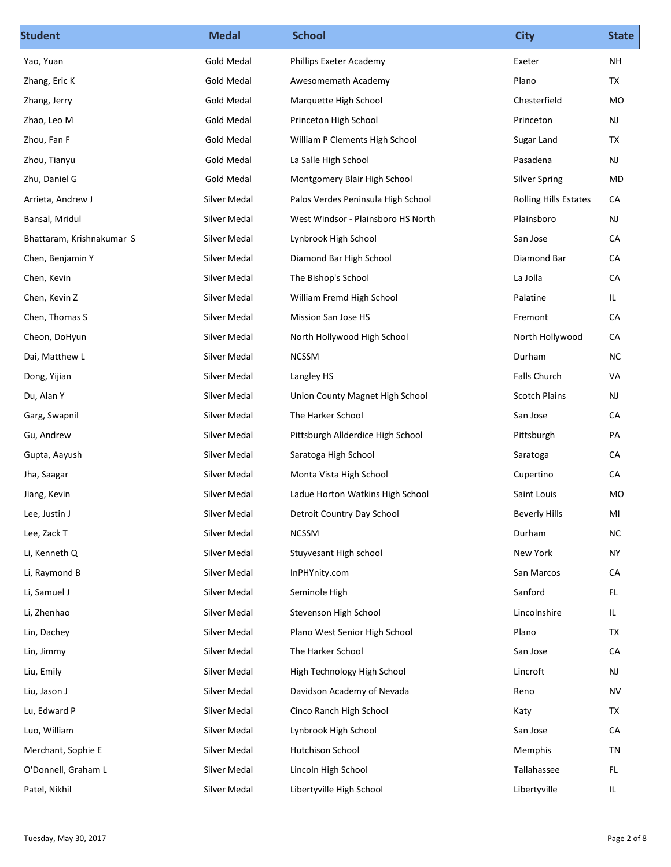| <b>Student</b>            | <b>Medal</b>        | <b>School</b>                      | <b>City</b>                  | <b>State</b>  |
|---------------------------|---------------------|------------------------------------|------------------------------|---------------|
| Yao, Yuan                 | <b>Gold Medal</b>   | Phillips Exeter Academy            | Exeter                       | <b>NH</b>     |
| Zhang, Eric K             | Gold Medal          | Awesomemath Academy                | Plano                        | TX            |
| Zhang, Jerry              | Gold Medal          | Marquette High School              | Chesterfield                 | MO            |
| Zhao, Leo M               | Gold Medal          | Princeton High School              | Princeton                    | NJ            |
| Zhou, Fan F               | Gold Medal          | William P Clements High School     | Sugar Land                   | TX            |
| Zhou, Tianyu              | Gold Medal          | La Salle High School               | Pasadena                     | NJ            |
| Zhu, Daniel G             | Gold Medal          | Montgomery Blair High School       | <b>Silver Spring</b>         | MD            |
| Arrieta, Andrew J         | Silver Medal        | Palos Verdes Peninsula High School | <b>Rolling Hills Estates</b> | CA            |
| Bansal, Mridul            | <b>Silver Medal</b> | West Windsor - Plainsboro HS North | Plainsboro                   | NJ            |
| Bhattaram, Krishnakumar S | Silver Medal        | Lynbrook High School               | San Jose                     | CA            |
| Chen, Benjamin Y          | Silver Medal        | Diamond Bar High School            | Diamond Bar                  | ${\sf CA}$    |
| Chen, Kevin               | Silver Medal        | The Bishop's School                | La Jolla                     | ${\sf CA}$    |
| Chen, Kevin Z             | Silver Medal        | William Fremd High School          | Palatine                     | IL.           |
| Chen, Thomas S            | Silver Medal        | Mission San Jose HS                | Fremont                      | ${\sf CA}$    |
| Cheon, DoHyun             | Silver Medal        | North Hollywood High School        | North Hollywood              | CA            |
| Dai, Matthew L            | Silver Medal        | <b>NCSSM</b>                       | Durham                       | ${\sf NC}$    |
| Dong, Yijian              | Silver Medal        | Langley HS                         | Falls Church                 | VA            |
| Du, Alan Y                | Silver Medal        | Union County Magnet High School    | <b>Scotch Plains</b>         | <b>NJ</b>     |
| Garg, Swapnil             | Silver Medal        | The Harker School                  | San Jose                     | ${\sf CA}$    |
| Gu, Andrew                | Silver Medal        | Pittsburgh Allderdice High School  | Pittsburgh                   | PA            |
| Gupta, Aayush             | Silver Medal        | Saratoga High School               | Saratoga                     | ${\sf CA}$    |
| Jha, Saagar               | Silver Medal        | Monta Vista High School            | Cupertino                    | ${\sf CA}$    |
| Jiang, Kevin              | Silver Medal        | Ladue Horton Watkins High School   | Saint Louis                  | MO            |
| Lee, Justin J             | Silver Medal        | Detroit Country Day School         | <b>Beverly Hills</b>         | MI            |
| Lee, Zack T               | Silver Medal        | <b>NCSSM</b>                       | Durham                       | ${\sf NC}$    |
| Li, Kenneth Q             | Silver Medal        | Stuyvesant High school             | New York                     | <b>NY</b>     |
|                           | Silver Medal        |                                    | San Marcos                   | CA            |
| Li, Raymond B             |                     | InPHYnity.com                      |                              |               |
| Li, Samuel J              | Silver Medal        | Seminole High                      | Sanford                      | FL.           |
| Li, Zhenhao               | Silver Medal        | Stevenson High School              | Lincolnshire                 | IL.           |
| Lin, Dachey               | Silver Medal        | Plano West Senior High School      | Plano                        | TX            |
| Lin, Jimmy                | Silver Medal        | The Harker School                  | San Jose                     | ${\sf CA}$    |
| Liu, Emily                | Silver Medal        | High Technology High School        | Lincroft                     | $\mathsf{NJ}$ |
| Liu, Jason J              | Silver Medal        | Davidson Academy of Nevada         | Reno                         | ${\sf NV}$    |
| Lu, Edward P              | Silver Medal        | Cinco Ranch High School            | Katy                         | TX            |
| Luo, William              | Silver Medal        | Lynbrook High School               | San Jose                     | ${\sf CA}$    |
| Merchant, Sophie E        | Silver Medal        | <b>Hutchison School</b>            | Memphis                      | TN            |
| O'Donnell, Graham L       | Silver Medal        | Lincoln High School                | Tallahassee                  | $\mathsf{FL}$ |
| Patel, Nikhil             | Silver Medal        | Libertyville High School           | Libertyville                 | IL            |
|                           |                     |                                    |                              |               |
| Tuesday, May 30, 2017     |                     |                                    |                              | Page 2 of 8   |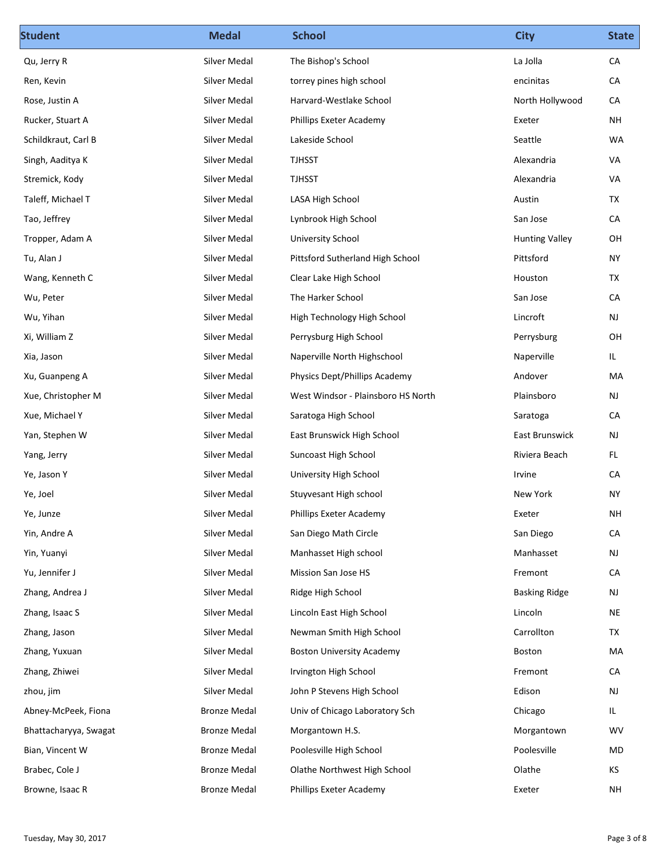| <b>Student</b>        | <b>Medal</b>        | <b>School</b>                      | <b>City</b>           | <b>State</b>    |
|-----------------------|---------------------|------------------------------------|-----------------------|-----------------|
| Qu, Jerry R           | Silver Medal        | The Bishop's School                | La Jolla              | ${\sf CA}$      |
| Ren, Kevin            | Silver Medal        | torrey pines high school           | encinitas             | CA              |
| Rose, Justin A        | Silver Medal        | Harvard-Westlake School            | North Hollywood       | CA              |
| Rucker, Stuart A      | Silver Medal        | Phillips Exeter Academy            | Exeter                | <b>NH</b>       |
| Schildkraut, Carl B   | Silver Medal        | Lakeside School                    | Seattle               | WA              |
| Singh, Aaditya K      | Silver Medal        | <b>TJHSST</b>                      | Alexandria            | VA              |
| Stremick, Kody        | Silver Medal        | <b>TJHSST</b>                      | Alexandria            | VA              |
| Taleff, Michael T     | Silver Medal        | LASA High School                   | Austin                | TX              |
| Tao, Jeffrey          | Silver Medal        | Lynbrook High School               | San Jose              | CA              |
| Tropper, Adam A       | Silver Medal        | <b>University School</b>           | <b>Hunting Valley</b> | OH              |
| Tu, Alan J            | Silver Medal        | Pittsford Sutherland High School   | Pittsford             | <b>NY</b>       |
| Wang, Kenneth C       | Silver Medal        | Clear Lake High School             | Houston               | TX              |
| Wu, Peter             | Silver Medal        | The Harker School                  | San Jose              | ${\sf CA}$      |
| Wu, Yihan             | Silver Medal        | High Technology High School        | Lincroft              | NJ              |
| Xi, William Z         | Silver Medal        | Perrysburg High School             | Perrysburg            | OH              |
| Xia, Jason            | Silver Medal        | Naperville North Highschool        | Naperville            | IL              |
| Xu, Guanpeng A        | Silver Medal        | Physics Dept/Phillips Academy      | Andover               | MA              |
| Xue, Christopher M    | Silver Medal        | West Windsor - Plainsboro HS North | Plainsboro            | <b>NJ</b>       |
| Xue, Michael Y        | Silver Medal        | Saratoga High School               | Saratoga              | ${\sf CA}$      |
| Yan, Stephen W        | Silver Medal        | East Brunswick High School         | East Brunswick        | <b>NJ</b>       |
| Yang, Jerry           | Silver Medal        | Suncoast High School               | Riviera Beach         | FL              |
| Ye, Jason Y           | Silver Medal        | University High School             | Irvine                | ${\sf CA}$      |
| Ye, Joel              | Silver Medal        | Stuyvesant High school             | New York              | <b>NY</b>       |
| Ye, Junze             | Silver Medal        | Phillips Exeter Academy            | Exeter                | $\mathsf{NH}\,$ |
|                       | Silver Medal        | San Diego Math Circle              | San Diego             | ${\sf CA}$      |
| Yin, Andre A          | Silver Medal        |                                    |                       |                 |
| Yin, Yuanyi           |                     | Manhasset High school              | Manhasset             | NJ              |
| Yu, Jennifer J        | Silver Medal        | Mission San Jose HS                | Fremont               | ${\sf CA}$      |
| Zhang, Andrea J       | Silver Medal        | Ridge High School                  | <b>Basking Ridge</b>  | NJ              |
| Zhang, Isaac S        | Silver Medal        | Lincoln East High School           | Lincoln               | $\sf NE$        |
| Zhang, Jason          | Silver Medal        | Newman Smith High School           | Carrollton            | TX              |
| Zhang, Yuxuan         | Silver Medal        | <b>Boston University Academy</b>   | Boston                | MA              |
| Zhang, Zhiwei         | Silver Medal        | Irvington High School              | Fremont               | ${\sf CA}$      |
| zhou, jim             | Silver Medal        | John P Stevens High School         | Edison                | $\mathsf{NJ}$   |
| Abney-McPeek, Fiona   | <b>Bronze Medal</b> | Univ of Chicago Laboratory Sch     | Chicago               | IL              |
| Bhattacharyya, Swagat | <b>Bronze Medal</b> | Morgantown H.S.                    | Morgantown            | WV              |
| Bian, Vincent W       | <b>Bronze Medal</b> | Poolesville High School            | Poolesville           | $\sf MD$        |
| Brabec, Cole J        | <b>Bronze Medal</b> | Olathe Northwest High School       | Olathe                | KS              |
| Browne, Isaac R       | <b>Bronze Medal</b> | Phillips Exeter Academy            | Exeter                | <b>NH</b>       |
|                       |                     |                                    |                       |                 |
| Tuesday, May 30, 2017 |                     |                                    |                       | Page 3 of 8     |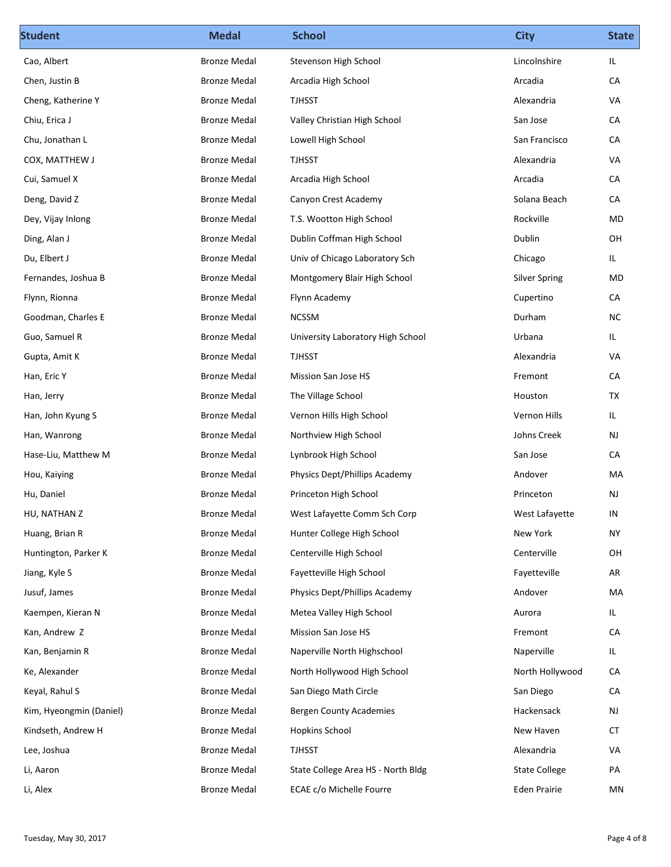| <b>Student</b>          | <b>Medal</b>        | <b>School</b>                      | <b>City</b>          | <b>State</b> |
|-------------------------|---------------------|------------------------------------|----------------------|--------------|
| Cao, Albert             | <b>Bronze Medal</b> | Stevenson High School              | Lincolnshire         | IL.          |
| Chen, Justin B          | <b>Bronze Medal</b> | Arcadia High School                | Arcadia              | CA           |
| Cheng, Katherine Y      | <b>Bronze Medal</b> | <b>TJHSST</b>                      | Alexandria           | VA           |
| Chiu, Erica J           | <b>Bronze Medal</b> | Valley Christian High School       | San Jose             | CA           |
| Chu, Jonathan L         | <b>Bronze Medal</b> | Lowell High School                 | San Francisco        | CA           |
| COX, MATTHEW J          | <b>Bronze Medal</b> | <b>TJHSST</b>                      | Alexandria           | VA           |
| Cui, Samuel X           | <b>Bronze Medal</b> | Arcadia High School                | Arcadia              | CA           |
| Deng, David Z           | <b>Bronze Medal</b> | Canyon Crest Academy               | Solana Beach         | CA           |
| Dey, Vijay Inlong       | <b>Bronze Medal</b> | T.S. Wootton High School           | Rockville            | MD           |
| Ding, Alan J            | <b>Bronze Medal</b> | Dublin Coffman High School         | Dublin               | OH           |
| Du, Elbert J            | <b>Bronze Medal</b> | Univ of Chicago Laboratory Sch     | Chicago              | IL           |
| Fernandes, Joshua B     | <b>Bronze Medal</b> | Montgomery Blair High School       | <b>Silver Spring</b> | ${\sf MD}$   |
| Flynn, Rionna           | <b>Bronze Medal</b> | Flynn Academy                      | Cupertino            | ${\sf CA}$   |
| Goodman, Charles E      | <b>Bronze Medal</b> | <b>NCSSM</b>                       | Durham               | ${\sf NC}$   |
| Guo, Samuel R           | <b>Bronze Medal</b> | University Laboratory High School  | Urbana               | IL           |
| Gupta, Amit K           | <b>Bronze Medal</b> | <b>TJHSST</b>                      | Alexandria           | VA           |
| Han, Eric Y             | <b>Bronze Medal</b> | Mission San Jose HS                | Fremont              | ${\sf CA}$   |
| Han, Jerry              | <b>Bronze Medal</b> | The Village School                 | Houston              | TX           |
| Han, John Kyung S       | <b>Bronze Medal</b> | Vernon Hills High School           | Vernon Hills         | IL.          |
| Han, Wanrong            | <b>Bronze Medal</b> | Northview High School              | Johns Creek          | <b>NJ</b>    |
| Hase-Liu, Matthew M     | <b>Bronze Medal</b> | Lynbrook High School               | San Jose             | ${\sf CA}$   |
| Hou, Kaiying            | <b>Bronze Medal</b> | Physics Dept/Phillips Academy      | Andover              | MA           |
| Hu, Daniel              | <b>Bronze Medal</b> | Princeton High School              | Princeton            | <b>NJ</b>    |
| HU, NATHAN Z            | <b>Bronze Medal</b> | West Lafayette Comm Sch Corp       | West Lafayette       | IN           |
| Huang, Brian R          | <b>Bronze Medal</b> | Hunter College High School         | New York             | <b>NY</b>    |
| Huntington, Parker K    | <b>Bronze Medal</b> | Centerville High School            | Centerville          | OH           |
| Jiang, Kyle S           | <b>Bronze Medal</b> | Fayetteville High School           | Fayetteville         | AR           |
| Jusuf, James            | <b>Bronze Medal</b> | Physics Dept/Phillips Academy      | Andover              | MA           |
| Kaempen, Kieran N       | <b>Bronze Medal</b> | Metea Valley High School           | Aurora               | IL           |
| Kan, Andrew Z           | <b>Bronze Medal</b> | Mission San Jose HS                | Fremont              | ${\sf CA}$   |
| Kan, Benjamin R         | <b>Bronze Medal</b> | Naperville North Highschool        | Naperville           | IL.          |
| Ke, Alexander           | <b>Bronze Medal</b> | North Hollywood High School        | North Hollywood      | ${\sf CA}$   |
| Keyal, Rahul S          | <b>Bronze Medal</b> | San Diego Math Circle              | San Diego            | ${\sf CA}$   |
| Kim, Hyeongmin (Daniel) | <b>Bronze Medal</b> | <b>Bergen County Academies</b>     | Hackensack           | NJ           |
| Kindseth, Andrew H      | <b>Bronze Medal</b> | <b>Hopkins School</b>              | New Haven            | ${\sf CT}$   |
|                         |                     |                                    |                      |              |
| Lee, Joshua             | <b>Bronze Medal</b> | <b>TJHSST</b>                      | Alexandria           | VA           |
| Li, Aaron               | <b>Bronze Medal</b> | State College Area HS - North Bldg | <b>State College</b> | PA           |
| Li, Alex                | <b>Bronze Medal</b> | ECAE c/o Michelle Fourre           | Eden Prairie         | MN           |
|                         |                     |                                    |                      |              |
| Tuesday, May 30, 2017   |                     |                                    |                      | Page 4 of 8  |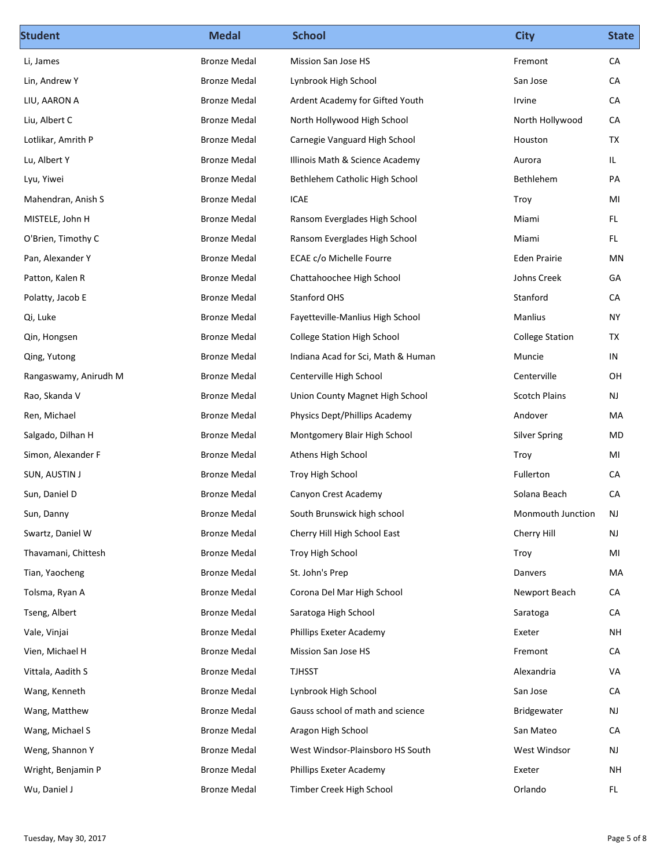| <b>Student</b>        | <b>Medal</b>                               | <b>School</b>                      | <b>City</b>            | <b>State</b>    |
|-----------------------|--------------------------------------------|------------------------------------|------------------------|-----------------|
| Li, James             | <b>Bronze Medal</b>                        | Mission San Jose HS                | Fremont                | CA              |
| Lin, Andrew Y         | <b>Bronze Medal</b>                        | Lynbrook High School               | San Jose               | CA              |
| LIU, AARON A          | <b>Bronze Medal</b>                        | Ardent Academy for Gifted Youth    | Irvine                 | CA              |
| Liu, Albert C         | <b>Bronze Medal</b>                        | North Hollywood High School        | North Hollywood        | CA              |
| Lotlikar, Amrith P    | <b>Bronze Medal</b>                        | Carnegie Vanguard High School      | Houston                | TX              |
| Lu, Albert Y          | <b>Bronze Medal</b>                        | Illinois Math & Science Academy    | Aurora                 | IL              |
| Lyu, Yiwei            | <b>Bronze Medal</b>                        | Bethlehem Catholic High School     | Bethlehem              | PA              |
| Mahendran, Anish S    | <b>Bronze Medal</b>                        | ICAE                               | Troy                   | MI              |
| MISTELE, John H       | <b>Bronze Medal</b>                        | Ransom Everglades High School      | Miami                  | FL.             |
| O'Brien, Timothy C    | <b>Bronze Medal</b>                        | Ransom Everglades High School      | Miami                  | FL.             |
| Pan, Alexander Y      | <b>Bronze Medal</b>                        | ECAE c/o Michelle Fourre           | Eden Prairie           | MN              |
| Patton, Kalen R       | <b>Bronze Medal</b>                        | Chattahoochee High School          | Johns Creek            | GA              |
| Polatty, Jacob E      | <b>Bronze Medal</b>                        | Stanford OHS                       | Stanford               | ${\sf CA}$      |
| Qi, Luke              | <b>Bronze Medal</b>                        | Fayetteville-Manlius High School   | Manlius                | <b>NY</b>       |
| Qin, Hongsen          | <b>Bronze Medal</b>                        | College Station High School        | <b>College Station</b> | TX              |
| Qing, Yutong          | <b>Bronze Medal</b>                        | Indiana Acad for Sci, Math & Human | Muncie                 | IN              |
| Rangaswamy, Anirudh M | <b>Bronze Medal</b>                        | Centerville High School            | Centerville            | OH              |
| Rao, Skanda V         | <b>Bronze Medal</b>                        | Union County Magnet High School    | <b>Scotch Plains</b>   | NJ              |
| Ren, Michael          | <b>Bronze Medal</b>                        | Physics Dept/Phillips Academy      | Andover                | MA              |
| Salgado, Dilhan H     | <b>Bronze Medal</b>                        | Montgomery Blair High School       | <b>Silver Spring</b>   | MD              |
| Simon, Alexander F    | <b>Bronze Medal</b>                        | Athens High School                 | Troy                   | MI              |
| SUN, AUSTIN J         | <b>Bronze Medal</b>                        | Troy High School                   | Fullerton              | CA              |
| Sun, Daniel D         | <b>Bronze Medal</b>                        | Canyon Crest Academy               | Solana Beach           | CA              |
| Sun, Danny            | <b>Bronze Medal</b>                        | South Brunswick high school        | Monmouth Junction      | NJ              |
| Swartz, Daniel W      | <b>Bronze Medal</b>                        | Cherry Hill High School East       | Cherry Hill            | NJ              |
| Thavamani, Chittesh   | <b>Bronze Medal</b>                        | Troy High School                   | Troy                   | MI              |
| Tian, Yaocheng        | <b>Bronze Medal</b>                        | St. John's Prep                    | Danvers                | MA              |
| Tolsma, Ryan A        | <b>Bronze Medal</b>                        | Corona Del Mar High School         | Newport Beach          | ${\sf CA}$      |
|                       |                                            |                                    |                        | CA              |
| Tseng, Albert         | <b>Bronze Medal</b><br><b>Bronze Medal</b> | Saratoga High School               | Saratoga               |                 |
| Vale, Vinjai          |                                            | Phillips Exeter Academy            | Exeter                 | $\mathsf{NH}\,$ |
| Vien, Michael H       | <b>Bronze Medal</b>                        | Mission San Jose HS                | Fremont                | ${\sf CA}$      |
| Vittala, Aadith S     | <b>Bronze Medal</b>                        | <b>TJHSST</b>                      | Alexandria             | VA              |
| Wang, Kenneth         | <b>Bronze Medal</b>                        | Lynbrook High School               | San Jose               | CA              |
| Wang, Matthew         | <b>Bronze Medal</b>                        | Gauss school of math and science   | Bridgewater            | <b>NJ</b>       |
| Wang, Michael S       | <b>Bronze Medal</b>                        | Aragon High School                 | San Mateo              | CA              |
| Weng, Shannon Y       | <b>Bronze Medal</b>                        | West Windsor-Plainsboro HS South   | West Windsor           | $\mathsf{NJ}$   |
| Wright, Benjamin P    | <b>Bronze Medal</b>                        | Phillips Exeter Academy            | Exeter                 | $\mathsf{NH}\,$ |
| Wu, Daniel J          | <b>Bronze Medal</b>                        | Timber Creek High School           | Orlando                | FL              |
|                       |                                            |                                    |                        |                 |
| Tuesday, May 30, 2017 |                                            |                                    |                        | Page 5 of 8     |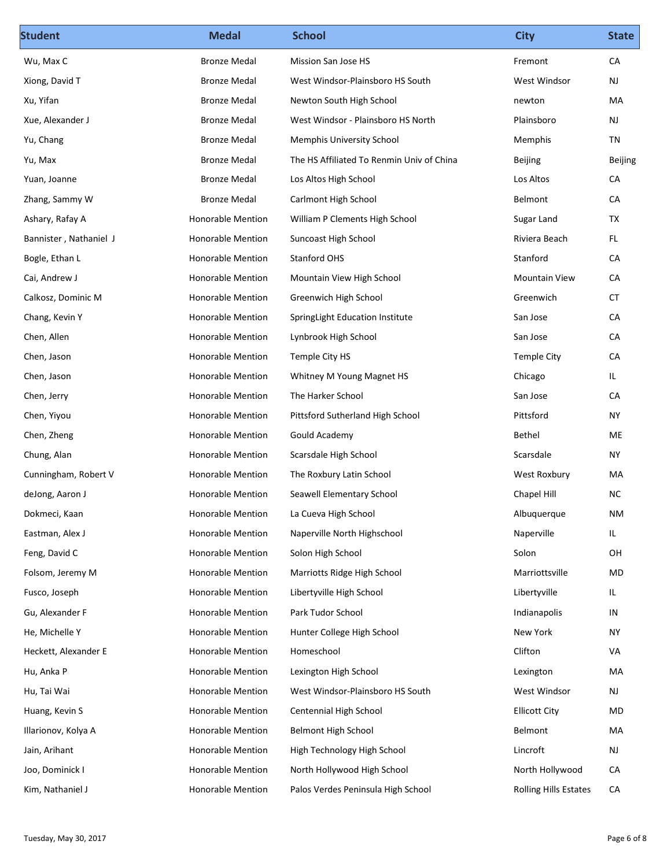| <b>Student</b>         | <b>Medal</b>             | <b>School</b>                             | <b>City</b>                  | <b>State</b>  |
|------------------------|--------------------------|-------------------------------------------|------------------------------|---------------|
| Wu, Max C              | <b>Bronze Medal</b>      | Mission San Jose HS                       | Fremont                      | CA            |
| Xiong, David T         | <b>Bronze Medal</b>      | West Windsor-Plainsboro HS South          | West Windsor                 | NJ            |
| Xu, Yifan              | <b>Bronze Medal</b>      | Newton South High School                  | newton                       | MA            |
| Xue, Alexander J       | <b>Bronze Medal</b>      | West Windsor - Plainsboro HS North        | Plainsboro                   | NJ            |
| Yu, Chang              | <b>Bronze Medal</b>      | <b>Memphis University School</b>          | Memphis                      | TN            |
| Yu, Max                | <b>Bronze Medal</b>      | The HS Affiliated To Renmin Univ of China | Beijing                      | Beijing       |
| Yuan, Joanne           | <b>Bronze Medal</b>      | Los Altos High School                     | Los Altos                    | CA            |
| Zhang, Sammy W         | <b>Bronze Medal</b>      | Carlmont High School                      | Belmont                      | CA            |
| Ashary, Rafay A        | <b>Honorable Mention</b> | William P Clements High School            | Sugar Land                   | TX            |
| Bannister, Nathaniel J | <b>Honorable Mention</b> | Suncoast High School                      | Riviera Beach                | FL.           |
| Bogle, Ethan L         | Honorable Mention        | Stanford OHS                              | Stanford                     | ${\sf CA}$    |
| Cai, Andrew J          | Honorable Mention        | Mountain View High School                 | Mountain View                | ${\sf CA}$    |
| Calkosz, Dominic M     | Honorable Mention        | Greenwich High School                     | Greenwich                    | ${\sf CT}$    |
| Chang, Kevin Y         | Honorable Mention        | SpringLight Education Institute           | San Jose                     | ${\sf CA}$    |
| Chen, Allen            | Honorable Mention        | Lynbrook High School                      | San Jose                     | ${\sf CA}$    |
| Chen, Jason            | Honorable Mention        | Temple City HS                            | Temple City                  | ${\sf CA}$    |
| Chen, Jason            | Honorable Mention        | Whitney M Young Magnet HS                 | Chicago                      | IL            |
| Chen, Jerry            | Honorable Mention        | The Harker School                         | San Jose                     | ${\sf CA}$    |
| Chen, Yiyou            | Honorable Mention        | Pittsford Sutherland High School          | Pittsford                    | <b>NY</b>     |
| Chen, Zheng            | Honorable Mention        | Gould Academy                             | Bethel                       | ME            |
| Chung, Alan            | Honorable Mention        | Scarsdale High School                     | Scarsdale                    | <b>NY</b>     |
| Cunningham, Robert V   | Honorable Mention        | The Roxbury Latin School                  | West Roxbury                 | MA            |
| deJong, Aaron J        | Honorable Mention        | Seawell Elementary School                 | Chapel Hill                  | ${\sf NC}$    |
| Dokmeci, Kaan          | Honorable Mention        | La Cueva High School                      | Albuquerque                  | NM            |
| Eastman, Alex J        | Honorable Mention        | Naperville North Highschool               | Naperville                   | IL            |
| Feng, David C          | Honorable Mention        | Solon High School                         | Solon                        | OH            |
| Folsom, Jeremy M       | Honorable Mention        | Marriotts Ridge High School               | Marriottsville               | MD            |
| Fusco, Joseph          | Honorable Mention        | Libertyville High School                  | Libertyville                 | IL            |
| Gu, Alexander F        | Honorable Mention        | Park Tudor School                         | Indianapolis                 | IN            |
| He, Michelle Y         | <b>Honorable Mention</b> | Hunter College High School                | New York                     | <b>NY</b>     |
| Heckett, Alexander E   | Honorable Mention        | Homeschool                                | Clifton                      | VA            |
| Hu, Anka P             | Honorable Mention        | Lexington High School                     | Lexington                    | MA            |
| Hu, Tai Wai            | Honorable Mention        | West Windsor-Plainsboro HS South          | West Windsor                 | <b>NJ</b>     |
| Huang, Kevin S         | Honorable Mention        | Centennial High School                    | <b>Ellicott City</b>         | MD            |
|                        | <b>Honorable Mention</b> | Belmont High School                       |                              | MA            |
| Illarionov, Kolya A    |                          |                                           | Belmont                      |               |
| Jain, Arihant          | Honorable Mention        | High Technology High School               | Lincroft                     | $\mathsf{NJ}$ |
| Joo, Dominick I        | Honorable Mention        | North Hollywood High School               | North Hollywood              | ${\sf CA}$    |
| Kim, Nathaniel J       | Honorable Mention        | Palos Verdes Peninsula High School        | <b>Rolling Hills Estates</b> | CA            |
|                        |                          |                                           |                              |               |
| Tuesday, May 30, 2017  |                          |                                           |                              | Page 6 of 8   |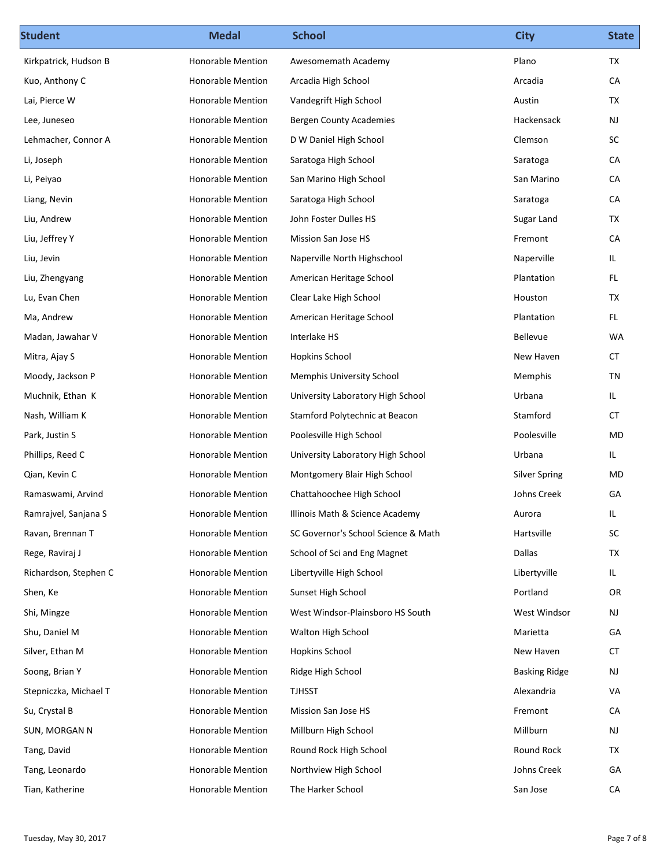| <b>Student</b>        | <b>Medal</b>             | <b>School</b>                       | <b>City</b>          | <b>State</b>  |
|-----------------------|--------------------------|-------------------------------------|----------------------|---------------|
| Kirkpatrick, Hudson B | Honorable Mention        | Awesomemath Academy                 | Plano                | TX            |
| Kuo, Anthony C        | Honorable Mention        | Arcadia High School                 | Arcadia              | CA            |
| Lai, Pierce W         | Honorable Mention        | Vandegrift High School              | Austin               | TX            |
| Lee, Juneseo          | Honorable Mention        | <b>Bergen County Academies</b>      | Hackensack           | NJ            |
| Lehmacher, Connor A   | Honorable Mention        | D W Daniel High School              | Clemson              | SC            |
| Li, Joseph            | Honorable Mention        | Saratoga High School                | Saratoga             | CA            |
| Li, Peiyao            | <b>Honorable Mention</b> | San Marino High School              | San Marino           | CA            |
| Liang, Nevin          | Honorable Mention        | Saratoga High School                | Saratoga             | CA            |
| Liu, Andrew           | Honorable Mention        | John Foster Dulles HS               | Sugar Land           | TX            |
| Liu, Jeffrey Y        | <b>Honorable Mention</b> | Mission San Jose HS                 | Fremont              | CA            |
| Liu, Jevin            | Honorable Mention        | Naperville North Highschool         | Naperville           | IL            |
| Liu, Zhengyang        | Honorable Mention        | American Heritage School            | Plantation           | $\mathsf{FL}$ |
| Lu, Evan Chen         | Honorable Mention        | Clear Lake High School              | Houston              | TX            |
| Ma, Andrew            | Honorable Mention        | American Heritage School            | Plantation           | FL.           |
| Madan, Jawahar V      | Honorable Mention        | Interlake HS                        | Bellevue             | WA            |
| Mitra, Ajay S         | Honorable Mention        | <b>Hopkins School</b>               | New Haven            | CT            |
| Moody, Jackson P      | Honorable Mention        | <b>Memphis University School</b>    | Memphis              | TN            |
| Muchnik, Ethan K      | Honorable Mention        | University Laboratory High School   | Urbana               | IL.           |
| Nash, William K       | Honorable Mention        | Stamford Polytechnic at Beacon      | Stamford             | CT            |
| Park, Justin S        | Honorable Mention        | Poolesville High School             | Poolesville          | MD            |
| Phillips, Reed C      | Honorable Mention        | University Laboratory High School   | Urbana               | IL            |
| Qian, Kevin C         | Honorable Mention        | Montgomery Blair High School        | <b>Silver Spring</b> | MD            |
| Ramaswami, Arvind     | Honorable Mention        | Chattahoochee High School           | Johns Creek          | GA            |
| Ramrajvel, Sanjana S  | Honorable Mention        | Illinois Math & Science Academy     | Aurora               | IL.           |
| Ravan, Brennan T      | Honorable Mention        | SC Governor's School Science & Math | Hartsville           | $\sf SC$      |
| Rege, Raviraj J       | Honorable Mention        | School of Sci and Eng Magnet        | Dallas               | TX            |
| Richardson, Stephen C | Honorable Mention        | Libertyville High School            | Libertyville         | IL            |
| Shen, Ke              | Honorable Mention        | Sunset High School                  | Portland             | OR            |
| Shi, Mingze           | Honorable Mention        | West Windsor-Plainsboro HS South    | West Windsor         | NJ            |
| Shu, Daniel M         | Honorable Mention        | Walton High School                  | Marietta             | GA            |
| Silver, Ethan M       | Honorable Mention        | <b>Hopkins School</b>               | New Haven            | ${\sf CT}$    |
| Soong, Brian Y        | Honorable Mention        | Ridge High School                   | <b>Basking Ridge</b> | NJ            |
| Stepniczka, Michael T | Honorable Mention        | <b>TJHSST</b>                       | Alexandria           | VA            |
| Su, Crystal B         | Honorable Mention        | Mission San Jose HS                 | Fremont              | ${\sf CA}$    |
| SUN, MORGAN N         | Honorable Mention        | Millburn High School                | Millburn             | $\mathsf{NJ}$ |
| Tang, David           | Honorable Mention        | Round Rock High School              | Round Rock           | TX            |
| Tang, Leonardo        | Honorable Mention        | Northview High School               | Johns Creek          | GA            |
|                       |                          |                                     |                      |               |
| Tian, Katherine       | Honorable Mention        | The Harker School                   | San Jose             | ${\sf CA}$    |
| Tuesday, May 30, 2017 |                          |                                     |                      | Page 7 of 8   |
|                       |                          |                                     |                      |               |